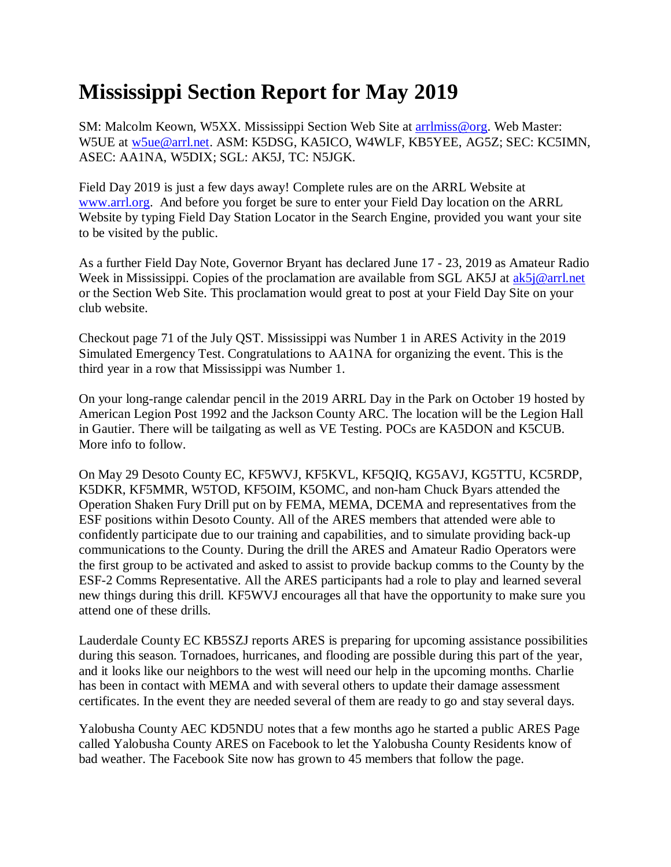## **Mississippi Section Report for May 2019**

SM: Malcolm Keown, W5XX. Mississippi Section Web Site at [arrlmiss@org.](mailto:arrlmiss@org) Web Master: W5UE at [w5ue@arrl.net.](mailto:w5ue@arrl.net) ASM: K5DSG, KA5ICO, W4WLF, KB5YEE, AG5Z; SEC: KC5IMN, ASEC: AA1NA, W5DIX; SGL: AK5J, TC: N5JGK.

Field Day 2019 is just a few days away! Complete rules are on the ARRL Website at [www.arrl.org.](http://www.arrl.org/) And before you forget be sure to enter your Field Day location on the ARRL Website by typing Field Day Station Locator in the Search Engine, provided you want your site to be visited by the public.

As a further Field Day Note, Governor Bryant has declared June 17 - 23, 2019 as Amateur Radio Week in Mississippi. Copies of the proclamation are available from SGL AK5J at [ak5j@arrl.net](mailto:ak5j@arrl.net) or the Section Web Site. This proclamation would great to post at your Field Day Site on your club website.

Checkout page 71 of the July QST. Mississippi was Number 1 in ARES Activity in the 2019 Simulated Emergency Test. Congratulations to AA1NA for organizing the event. This is the third year in a row that Mississippi was Number 1.

On your long-range calendar pencil in the 2019 ARRL Day in the Park on October 19 hosted by American Legion Post 1992 and the Jackson County ARC. The location will be the Legion Hall in Gautier. There will be tailgating as well as VE Testing. POCs are KA5DON and K5CUB. More info to follow.

On May 29 Desoto County EC, KF5WVJ, KF5KVL, KF5QIQ, KG5AVJ, KG5TTU, KC5RDP, K5DKR, KF5MMR, W5TOD, KF5OIM, K5OMC, and non-ham Chuck Byars attended the Operation Shaken Fury Drill put on by FEMA, MEMA, DCEMA and representatives from the ESF positions within Desoto County. All of the ARES members that attended were able to confidently participate due to our training and capabilities, and to simulate providing back-up communications to the County. During the drill the ARES and Amateur Radio Operators were the first group to be activated and asked to assist to provide backup comms to the County by the ESF-2 Comms Representative. All the ARES participants had a role to play and learned several new things during this drill. KF5WVJ encourages all that have the opportunity to make sure you attend one of these drills.

Lauderdale County EC KB5SZJ reports ARES is preparing for upcoming assistance possibilities during this season. Tornadoes, hurricanes, and flooding are possible during this part of the year, and it looks like our neighbors to the west will need our help in the upcoming months. Charlie has been in contact with MEMA and with several others to update their damage assessment certificates. In the event they are needed several of them are ready to go and stay several days.

Yalobusha County AEC KD5NDU notes that a few months ago he started a public ARES Page called Yalobusha County ARES on Facebook to let the Yalobusha County Residents know of bad weather. The Facebook Site now has grown to 45 members that follow the page.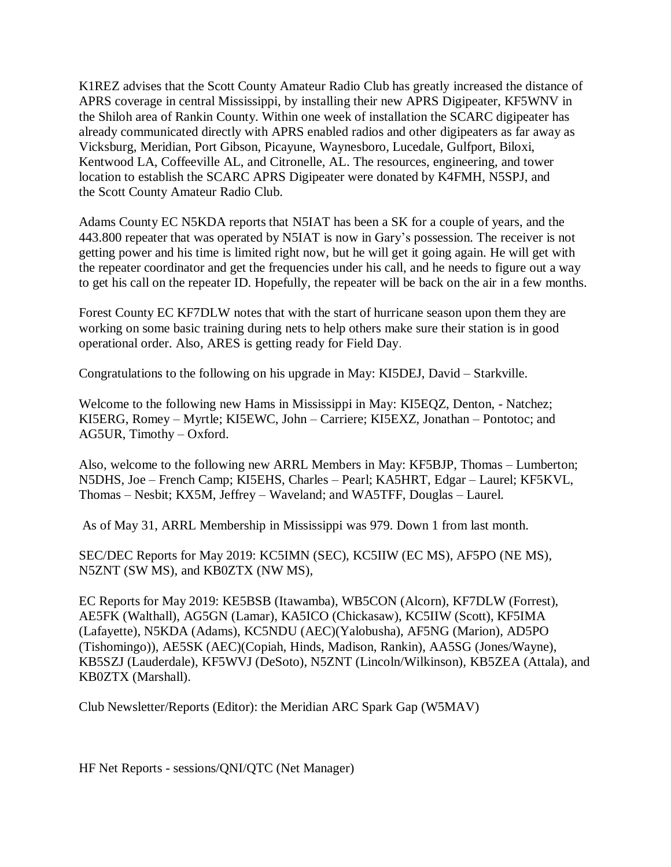K1REZ advises that the Scott County Amateur Radio Club has greatly increased the distance of APRS coverage in central Mississippi, by installing their new APRS Digipeater, KF5WNV in the Shiloh area of Rankin County. Within one week of installation the SCARC digipeater has already communicated directly with APRS enabled radios and other digipeaters as far away as Vicksburg, Meridian, Port Gibson, Picayune, Waynesboro, Lucedale, Gulfport, Biloxi, Kentwood LA, Coffeeville AL, and Citronelle, AL. The resources, engineering, and tower location to establish the SCARC APRS Digipeater were donated by K4FMH, N5SPJ, and the Scott County Amateur Radio Club.

Adams County EC N5KDA reports that N5IAT has been a SK for a couple of years, and the 443.800 repeater that was operated by N5IAT is now in Gary's possession. The receiver is not getting power and his time is limited right now, but he will get it going again. He will get with the repeater coordinator and get the frequencies under his call, and he needs to figure out a way to get his call on the repeater ID. Hopefully, the repeater will be back on the air in a few months.

Forest County EC KF7DLW notes that with the start of hurricane season upon them they are working on some basic training during nets to help others make sure their station is in good operational order. Also, ARES is getting ready for Field Day.

Congratulations to the following on his upgrade in May: KI5DEJ, David – Starkville.

Welcome to the following new Hams in Mississippi in May: KI5EQZ, Denton, - Natchez; KI5ERG, Romey – Myrtle; KI5EWC, John – Carriere; KI5EXZ, Jonathan – Pontotoc; and AG5UR, Timothy – Oxford.

Also, welcome to the following new ARRL Members in May: KF5BJP, Thomas – Lumberton; N5DHS, Joe – French Camp; KI5EHS, Charles – Pearl; KA5HRT, Edgar – Laurel; KF5KVL, Thomas – Nesbit; KX5M, Jeffrey – Waveland; and WA5TFF, Douglas – Laurel.

As of May 31, ARRL Membership in Mississippi was 979. Down 1 from last month.

SEC/DEC Reports for May 2019: KC5IMN (SEC), KC5IIW (EC MS), AF5PO (NE MS), N5ZNT (SW MS), and KB0ZTX (NW MS),

EC Reports for May 2019: KE5BSB (Itawamba), WB5CON (Alcorn), KF7DLW (Forrest), AE5FK (Walthall), AG5GN (Lamar), KA5ICO (Chickasaw), KC5IIW (Scott), KF5IMA (Lafayette), N5KDA (Adams), KC5NDU (AEC)(Yalobusha), AF5NG (Marion), AD5PO (Tishomingo)), AE5SK (AEC)(Copiah, Hinds, Madison, Rankin), AA5SG (Jones/Wayne), KB5SZJ (Lauderdale), KF5WVJ (DeSoto), N5ZNT (Lincoln/Wilkinson), KB5ZEA (Attala), and KB0ZTX (Marshall).

Club Newsletter/Reports (Editor): the Meridian ARC Spark Gap (W5MAV)

HF Net Reports - sessions/QNI/QTC (Net Manager)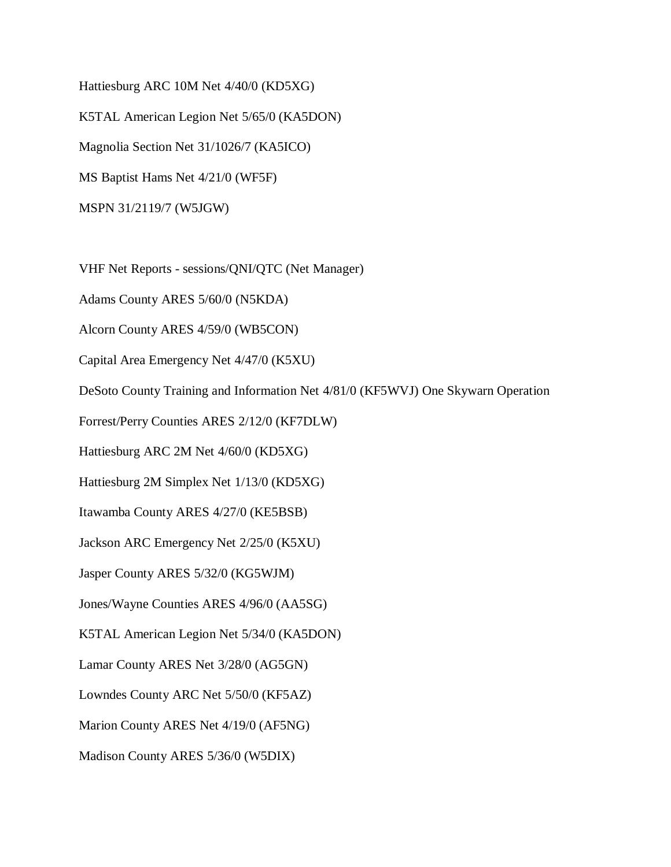Hattiesburg ARC 10M Net 4/40/0 (KD5XG) K5TAL American Legion Net 5/65/0 (KA5DON) Magnolia Section Net 31/1026/7 (KA5ICO) MS Baptist Hams Net 4/21/0 (WF5F) MSPN 31/2119/7 (W5JGW)

VHF Net Reports - sessions/QNI/QTC (Net Manager)

Adams County ARES 5/60/0 (N5KDA)

Alcorn County ARES 4/59/0 (WB5CON)

Capital Area Emergency Net 4/47/0 (K5XU)

DeSoto County Training and Information Net 4/81/0 (KF5WVJ) One Skywarn Operation

Forrest/Perry Counties ARES 2/12/0 (KF7DLW)

Hattiesburg ARC 2M Net 4/60/0 (KD5XG)

Hattiesburg 2M Simplex Net 1/13/0 (KD5XG)

Itawamba County ARES 4/27/0 (KE5BSB)

Jackson ARC Emergency Net 2/25/0 (K5XU)

Jasper County ARES 5/32/0 (KG5WJM)

Jones/Wayne Counties ARES 4/96/0 (AA5SG)

K5TAL American Legion Net 5/34/0 (KA5DON)

Lamar County ARES Net 3/28/0 (AG5GN)

Lowndes County ARC Net 5/50/0 (KF5AZ)

Marion County ARES Net 4/19/0 (AF5NG)

Madison County ARES 5/36/0 (W5DIX)